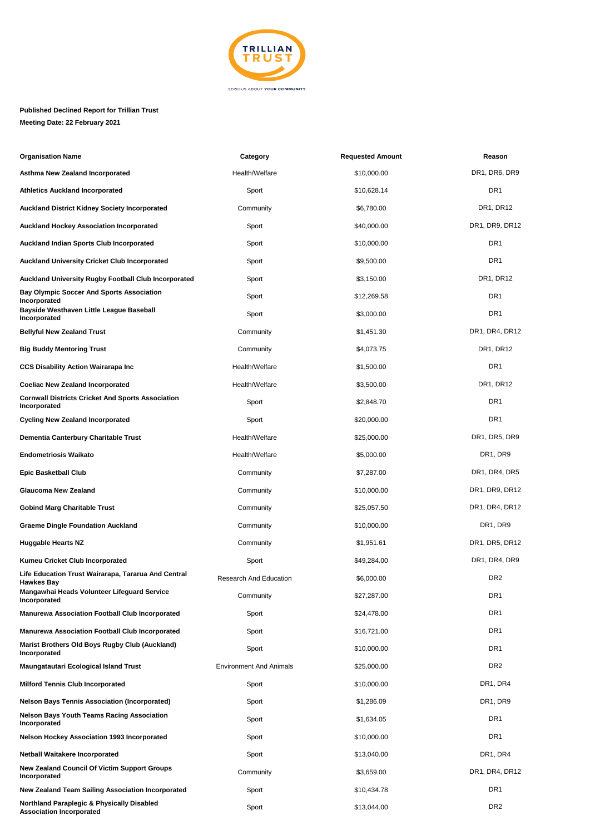

## **Published Declined Report for Trillian Trust Meeting Date: 22 February 2021**

| <b>Organisation Name</b>                                                      | Category                       | <b>Requested Amount</b> | Reason          |
|-------------------------------------------------------------------------------|--------------------------------|-------------------------|-----------------|
| <b>Asthma New Zealand Incorporated</b>                                        | Health/Welfare                 | \$10,000.00             | DR1, DR6, DR9   |
| <b>Athletics Auckland Incorporated</b>                                        | Sport                          | \$10,628.14             | DR <sub>1</sub> |
| <b>Auckland District Kidney Society Incorporated</b>                          | Community                      | \$6,780.00              | DR1, DR12       |
| <b>Auckland Hockey Association Incorporated</b>                               | Sport                          | \$40,000.00             | DR1, DR9, DR12  |
| <b>Auckland Indian Sports Club Incorporated</b>                               | Sport                          | \$10,000.00             | DR <sub>1</sub> |
| <b>Auckland University Cricket Club Incorporated</b>                          | Sport                          | \$9,500.00              | DR <sub>1</sub> |
| <b>Auckland University Rugby Football Club Incorporated</b>                   | Sport                          | \$3,150.00              | DR1, DR12       |
| <b>Bay Olympic Soccer And Sports Association</b><br>Incorporated              | Sport                          | \$12,269.58             | DR <sub>1</sub> |
| Bayside Westhaven Little League Baseball<br>Incorporated                      | Sport                          | \$3,000.00              | DR <sub>1</sub> |
| <b>Bellyful New Zealand Trust</b>                                             | Community                      | \$1,451.30              | DR1, DR4, DR12  |
| <b>Big Buddy Mentoring Trust</b>                                              | Community                      | \$4,073.75              | DR1, DR12       |
| <b>CCS Disability Action Wairarapa Inc</b>                                    | Health/Welfare                 | \$1,500.00              | DR <sub>1</sub> |
| <b>Coeliac New Zealand Incorporated</b>                                       | Health/Welfare                 | \$3,500.00              | DR1, DR12       |
| <b>Cornwall Districts Cricket And Sports Association</b><br>Incorporated      | Sport                          | \$2,848.70              | DR1             |
| <b>Cycling New Zealand Incorporated</b>                                       | Sport                          | \$20,000.00             | DR <sub>1</sub> |
| Dementia Canterbury Charitable Trust                                          | Health/Welfare                 | \$25,000.00             | DR1, DR5, DR9   |
| <b>Endometriosis Waikato</b>                                                  | Health/Welfare                 | \$5,000.00              | DR1, DR9        |
| <b>Epic Basketball Club</b>                                                   | Community                      | \$7,287.00              | DR1, DR4, DR5   |
| <b>Glaucoma New Zealand</b>                                                   | Community                      | \$10,000.00             | DR1, DR9, DR12  |
| <b>Gobind Marg Charitable Trust</b>                                           | Community                      | \$25,057.50             | DR1, DR4, DR12  |
| <b>Graeme Dingle Foundation Auckland</b>                                      | Community                      | \$10,000.00             | DR1, DR9        |
| <b>Huggable Hearts NZ</b>                                                     | Community                      | \$1,951.61              | DR1, DR5, DR12  |
| Kumeu Cricket Club Incorporated                                               | Sport                          | \$49,284.00             | DR1, DR4, DR9   |
| Life Education Trust Wairarapa, Tararua And Central<br><b>Hawkes Bay</b>      | <b>Research And Education</b>  | \$6,000.00              | DR <sub>2</sub> |
| Mangawhai Heads Volunteer Lifeguard Service<br>Incorporated                   | Community                      | \$27,287.00             | DR1             |
| <b>Manurewa Association Football Club Incorporated</b>                        | Sport                          | \$24,478.00             | DR <sub>1</sub> |
| <b>Manurewa Association Football Club Incorporated</b>                        | Sport                          | \$16,721.00             | DR <sub>1</sub> |
| Marist Brothers Old Boys Rugby Club (Auckland)<br>Incorporated                | Sport                          | \$10,000.00             | DR <sub>1</sub> |
| Maungatautari Ecological Island Trust                                         | <b>Environment And Animals</b> | \$25,000.00             | DR <sub>2</sub> |
| <b>Milford Tennis Club Incorporated</b>                                       | Sport                          | \$10,000.00             | DR1, DR4        |
| <b>Nelson Bays Tennis Association (Incorporated)</b>                          | Sport                          | \$1,286.09              | DR1, DR9        |
| <b>Nelson Bays Youth Teams Racing Association</b><br>Incorporated             | Sport                          | \$1,634.05              | DR1             |
| <b>Nelson Hockey Association 1993 Incorporated</b>                            | Sport                          | \$10,000.00             | DR1             |
| <b>Netball Waitakere Incorporated</b>                                         | Sport                          | \$13,040.00             | DR1, DR4        |
| <b>New Zealand Council Of Victim Support Groups</b><br>Incorporated           | Community                      | \$3,659.00              | DR1, DR4, DR12  |
| New Zealand Team Sailing Association Incorporated                             | Sport                          | \$10,434.78             | DR <sub>1</sub> |
| Northland Paraplegic & Physically Disabled<br><b>Association Incorporated</b> | Sport                          | \$13,044.00             | DR <sub>2</sub> |